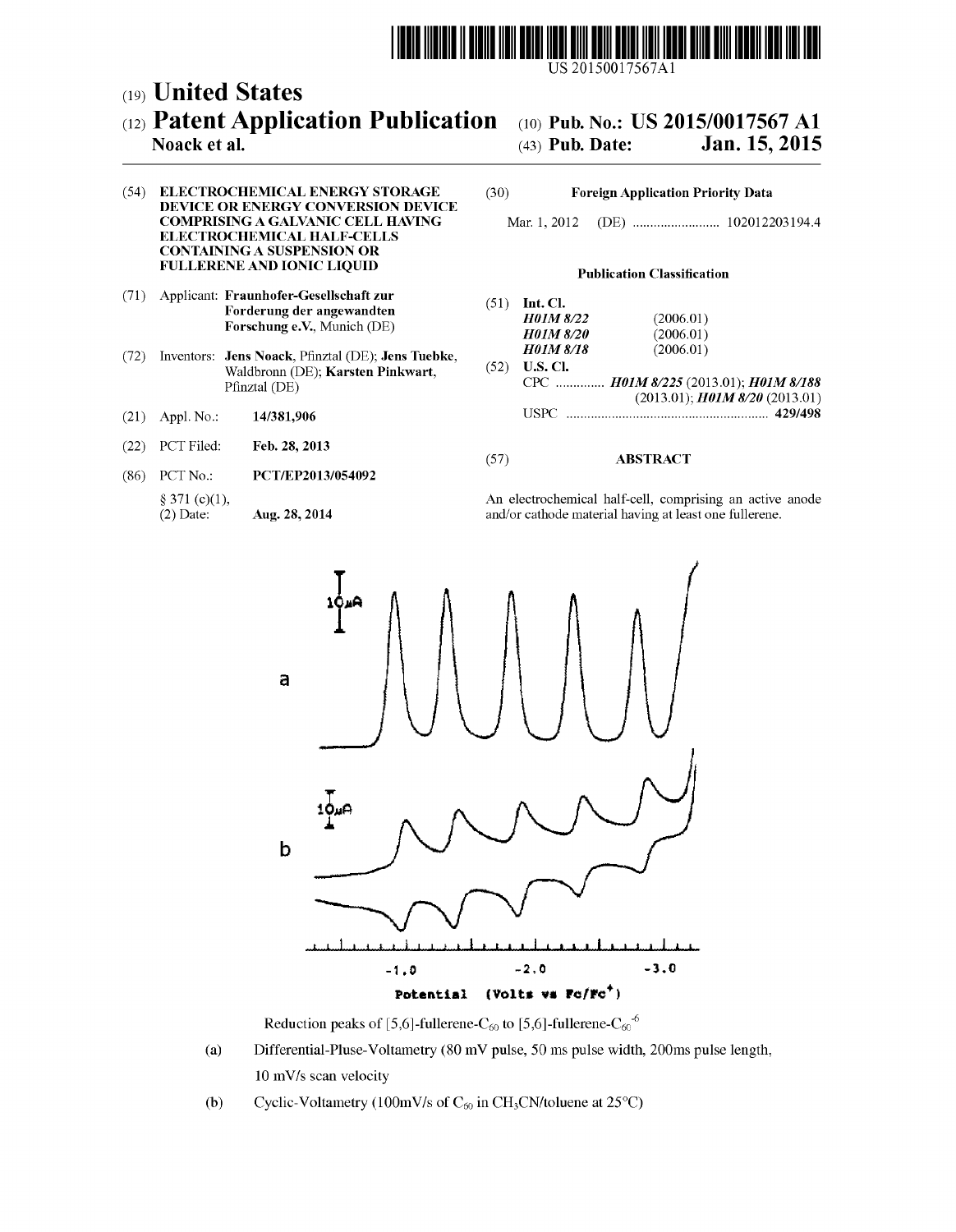US 201500 17567A1

# (19) United States

# (12) Patent Application Publication (10) Pub. No.: US 2015/0017567 A1<br>Noack et al. (43) Pub. Date: Jan. 15, 2015 Jan. 15, 2015

- (54) ELECTROCHEMICAL ENERGY STORAGE (30) Foreign Application Priority Data DEVICE OR ENERGY CONVERSION DEVICE COMPRISING A GALVANIC CELL HAVING Mar. 1, 2012 (DE) ............................. 102012203194.4 ELECTROCHEMICAL HALF-CELLS CONTAINING A SUSPENSION OR FULLERENE AND IONIC LIQUID
- (71) Applicant: Fraunhofer-Gesellschaft Zur Forderung der angewandten Forschung e.V., Munich (DE)
- (72) Inventors: Jens Noack, Pfinztal (DE); Jens Tuebke, Waldbronn (DE); Karsten Pinkwart, Pfinztal (DE)
- (21) Appl. No.: 14/381,906
- (22) PCT Fled: Feb. 28, 2013
- (86) PCT NO.: PCT/EP2013/O54092
	- § 371 $(c)(1)$ , (2) Date: Aug. 28, 2014

### Publication Classification

(51) Int. Cl.  $H01M 8/22$  (2006.01)<br> $H01M 8/20$  (2006.01)  $(2006.01)$ <br> $(2006.01)$  $H01M8/18$ (52) U.S. Cl. CPC .............. H0IM 8/225 (2013.01); H0IM 8/188  $(2013.01);$  HO1M 8/20  $(2013.01)$ USPC .......................................................... 429/498

## (57) ABSTRACT

An electrochemical half-cell, comprising an active anode and/or cathode material having at least one fullerene.



Reduction peaks of [5,6]-fullerene-C<sub>60</sub> to [5,6]-fullerene-C<sub>60</sub><sup>-6</sup>

- (a) Differential-Pluse-Voltametry (80 mV pulse, 50 ms pulse width, 200ms pulse length. 10 mV/s scan velocity
- (b) Cyclic-Voltametry (100mV/s of  $C_{60}$  in CH<sub>3</sub>CN/toluene at 25°C)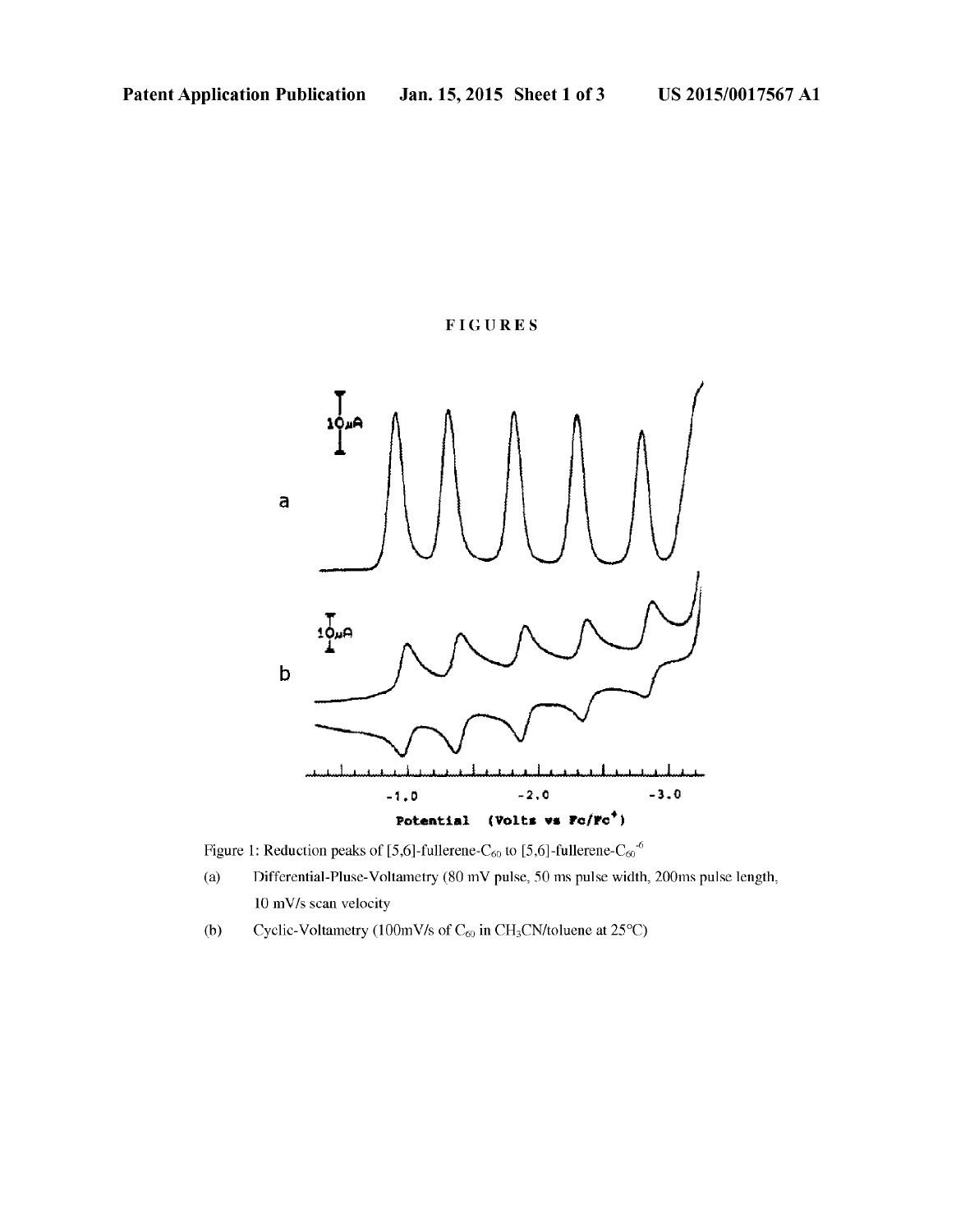# FIGURE S



Figure 1: Reduction peaks of [5,6]-fullerene-C<sub>60</sub> to [5,6]-fullerene-C<sub>60</sub><sup>-6</sup>

- (a) Differential-Pluse-Voltametry (80 mV pulse, 50 ms pulse width, 200ms pulse length. 10 mV/s scan velocity
- (b) Cyclic-Voltametry (100mV/s of  $C_{60}$  in CH<sub>3</sub>CN/toluene at 25°C)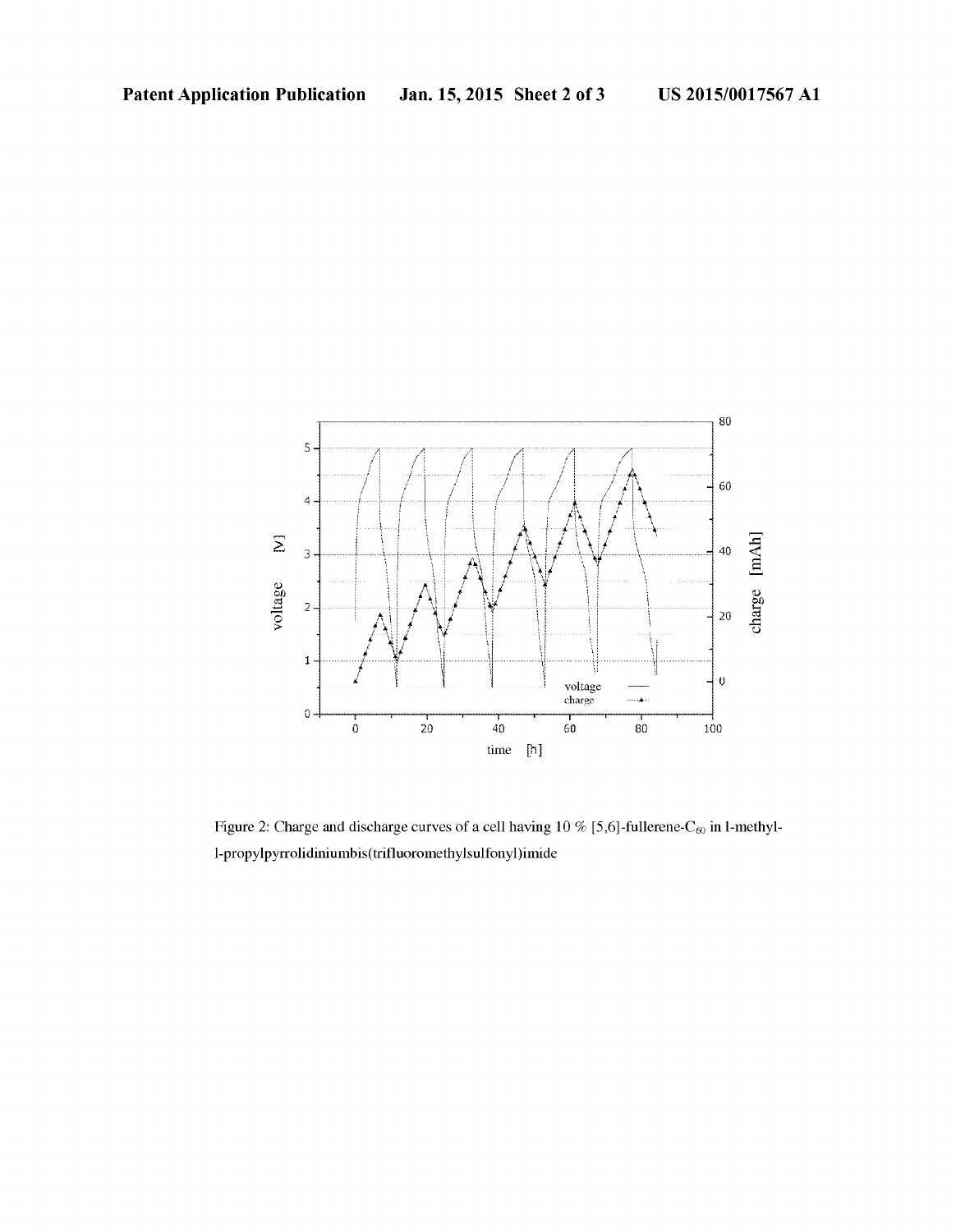

Figure 2: Charge and discharge curves of a cell having 10 % [5,6]-fullerene-C<sub>60</sub> in l-methyll-propylpyrrolidiniumbis(trifluoromethylsulfonyl)imide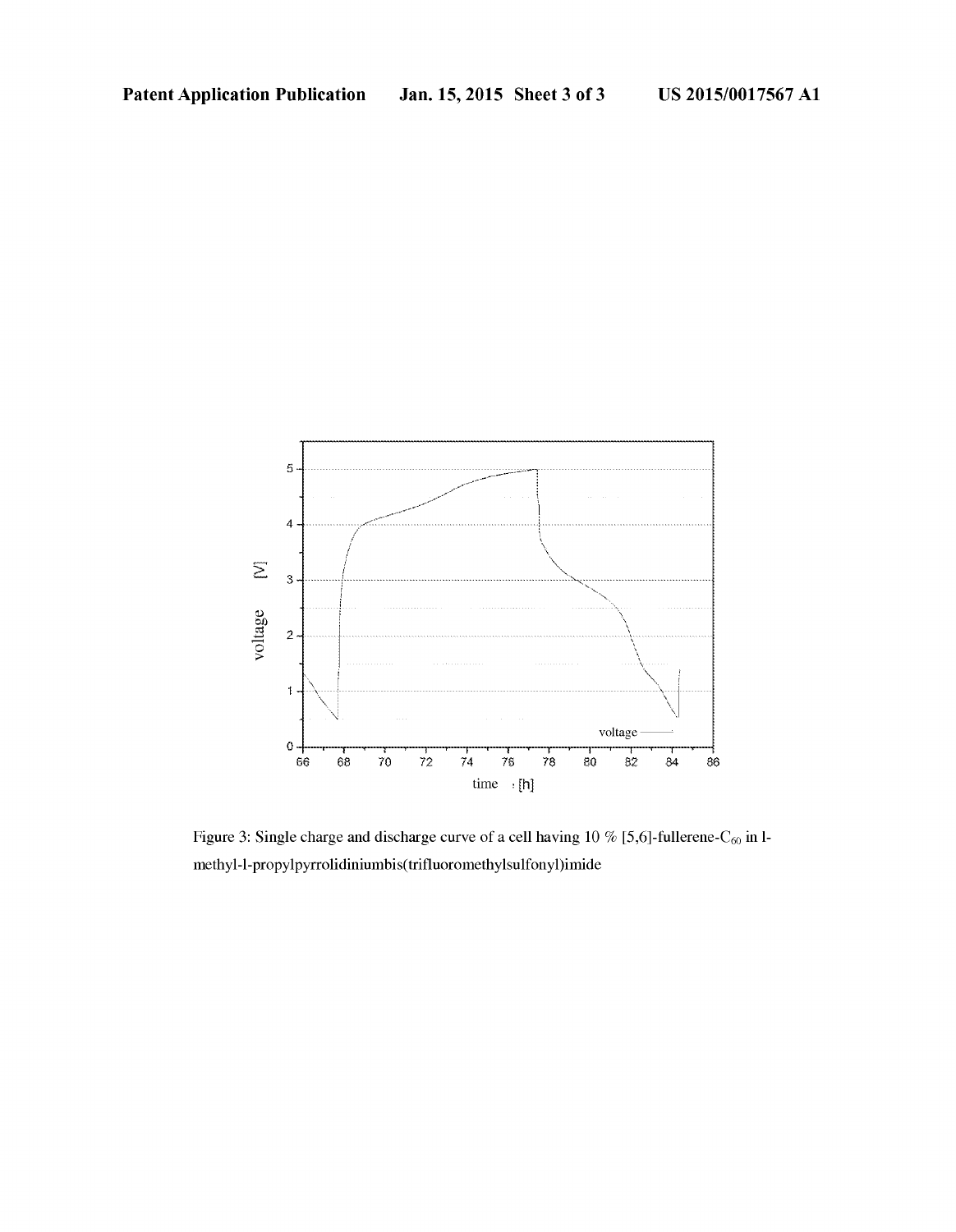

Figure 3: Single charge and discharge curve of a cell having 10 % [5,6]-fullerene-C<sub>60</sub> in lmethyl-l-propylpyrrolidiniumbis(trifluoromethylsulfonyl)imide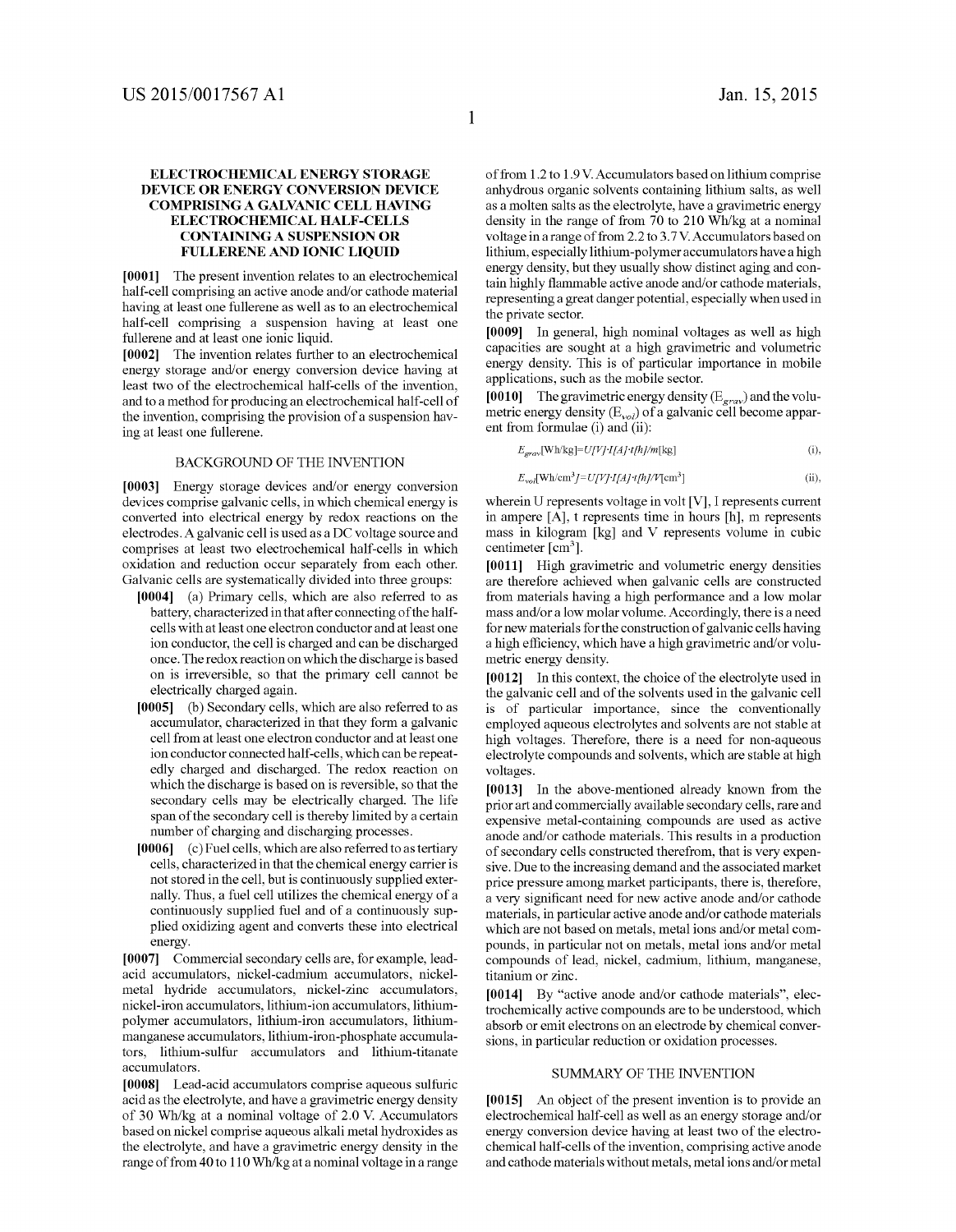#### ELECTROCHEMICAL ENERGY STORAGE DEVICE OR ENERGY CONVERSION DEVICE COMPRISINGA GALVANIC CELL HAVING ELECTROCHEMICAL HALF-CELLS CONTAINING A SUSPENSION OR FULLERENE AND IONIC LIQUID

[0001] The present invention relates to an electrochemical half-cell comprising an active anode and/or cathode material having at least one fullerene as well as to an electrochemical half-cell comprising a suspension having at least one fullerene and at least one ionic liquid.

[0002] The invention relates further to an electrochemical energy storage and/or energy conversion device having at least two of the electrochemical half-cells of the invention, and to a method for producing an electrochemical half-cell of the invention, comprising the provision of a suspension hav ing at least one fullerene.

#### BACKGROUND OF THE INVENTION

[0003] Energy storage devices and/or energy conversion devices comprise galvanic cells, in which chemical energy is converted into electrical energy by redox reactions on the electrodes. A galvanic cell is used as a DC voltage source and comprises at least two electrochemical half-cells in which oxidation and reduction occur separately from each other. Galvanic cells are systematically divided into three groups:

- [0004] (a) Primary cells, which are also referred to as battery, characterized in that after connecting of the half cells with at least one electron conductor and at least one ion conductor, the cell is charged and can be discharged once. The redox reaction on which the discharge is based on is irreversible, so that the primary cell cannot be electrically charged again.
- [0005] (b) Secondary cells, which are also referred to as accumulator, characterized in that they form a galvanic cell from at least one electron conductor and at least one edly charged and discharged. The redox reaction on which the discharge is based on is reversible, so that the secondary cells may be electrically charged. The life span of the secondary cell is thereby limited by a certain number of charging and discharging processes.
- $[0006]$  (c) Fuel cells, which are also referred to as tertiary cells, characterized in that the chemical energy carrier is not stored in the cell, but is continuously supplied exter nally. Thus, a fuel cell utilizes the chemical energy of a continuously supplied fuel and of a continuously supplied oxidizing agent and converts these into electrical energy.

[0007] Commercial secondary cells are, for example, leadacid accumulators, nickel-cadmium accumulators, nickel metal hydride accumulators, nickel-zinc accumulators, nickel-iron accumulators, lithium-ion accumulators, lithium polymer accumulators, lithium-iron accumulators, lithium manganese accumulators, lithium-iron-phosphate accumula tors, lithium-Sulfur accumulators and lithium-titanate accumulators.

[0008] Lead-acid accumulators comprise aqueous sulfuric acid as the electrolyte, and have a gravimetric energy density of 30 Wh/kg at a nominal voltage of 2.0 V. Accumulators based on nickel comprise aqueous alkali metal hydroxides as the electrolyte, and have a gravimetric energy density in the range of from 40 to 110 Wh/kg at a nominal voltage in a range of from 1.2 to 1.9 V. Accumulators based on lithium comprise anhydrous organic solvents containing lithium salts, as well as a molten salts as the electrolyte, have a gravimetric energy density in the range of from 70 to 210 Wh/kg at a nominal Voltage in a range of from 2.2 to 3.7V. Accumulators based on lithium, especially lithium-polymer accumulators have a high energy density, but they usually show distinct aging and contain highly flammable active anode and/or cathode materials, representing a great danger potential, especially when used in the private sector.

0009. In general, high nominal voltages as well as high capacities are sought at a high gravimetric and Volumetric energy density. This is of particular importance in mobile applications, such as the mobile sector.

[0010] The gravimetric energy density  $(E_{grav})$  and the volumetric energy density  $(E_{vol})$  of a galvanic cell become apparent from formulae (i) and (ii):

$$
E_{grav}[\text{Wh/kg}] = U/VJ \cdot I[A] \cdot t[h]/m[\text{kg}] \tag{i}
$$

$$
E_{vol}[\text{Wh/cm}^3] = U[V] \cdot I[A] \cdot t[h]/V[\text{cm}^3]
$$
 (ii),

wherein U represents voltage in volt [V], I represents current in ampere [A], t represents time in hours [h], m represents mass in kilogram [kg] and V represents volume in cubic centimeter  $\lceil$  cm<sup>3</sup> $\rceil$ .

[0011] High gravimetric and volumetric energy densities are therefore achieved when galvanic cells are constructed from materials having a high performance and a low molar mass and/or a low molar volume. Accordingly, there is a need for new materials for the construction of galvanic cells having a high efficiency, which have a high gravimetric and/or Volu metric energy density.

[0012] In this context, the choice of the electrolyte used in the galvanic cell and of the solvents used in the galvanic cell is of particular importance, since the conventionally employed aqueous electrolytes and solvents are not stable at high Voltages. Therefore, there is a need for non-aqueous electrolyte compounds and solvents, which are stable at high voltages.

[0013] In the above-mentioned already known from the prior art and commercially available secondary cells, rare and expensive metal-containing compounds are used as active anode and/or cathode materials. This results in a production of secondary cells constructed therefrom, that is very expensive. Due to the increasing demand and the associated market price pressure among market participants, there is, therefore, a very significant need for new active anode and/or cathode materials, in particular active anode and/or cathode materials which are not based on metals, metal ions and/or metal com pounds, in particular not on metals, metal ions and/or metal compounds of lead, nickel, cadmium, lithium, manganese, titanium or zinc.

[0014] By "active anode and/or cathode materials", electrochemically active compounds are to be understood, which absorb or emit electrons on an electrode by chemical conver sions, in particular reduction or oxidation processes.

#### SUMMARY OF THE INVENTION

[0015] An object of the present invention is to provide an electrochemical half-cell as well as an energy storage and/or energy conversion device having at least two of the electro chemical half-cells of the invention, comprising active anode and cathode materials without metals, metalions and/or metal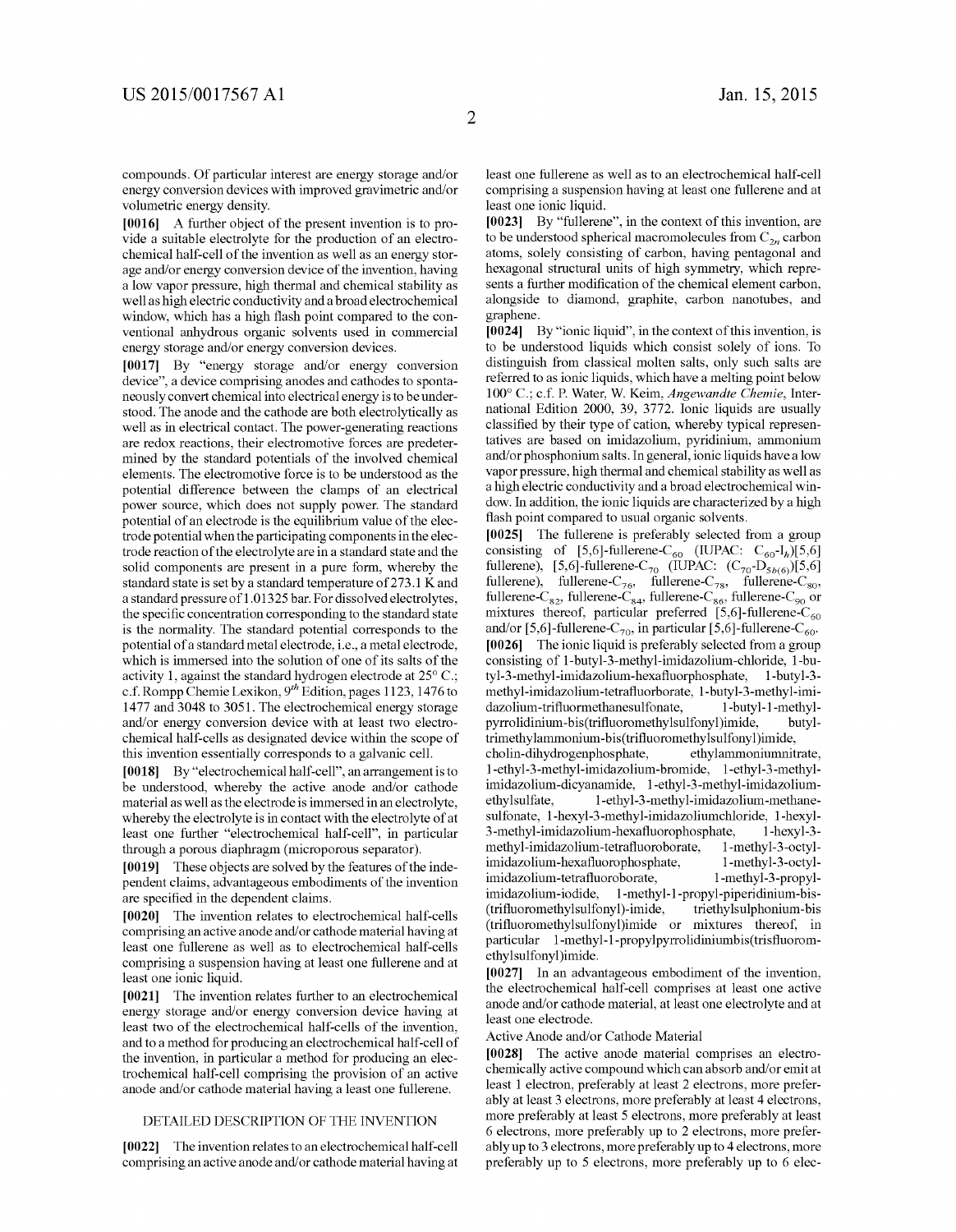compounds. Of particular interest are energy storage and/or energy conversion devices with improved gravimetric and/or Volumetric energy density.

[0016] A further object of the present invention is to provide a suitable electrolyte for the production of an electrochemical half-cell of the invention as well as an energy storage and/or energy conversion device of the invention, having a low vapor pressure, high thermal and chemical stability as well as high electric conductivity and abroad electrochemical window, which has a high flash point compared to the con ventional anhydrous organic solvents used in commercial energy storage and/or energy conversion devices.

0017. By "energy storage and/or energy conversion device', a device comprising anodes and cathodes to sponta neously convert chemical into electrical energy is to be under stood. The anode and the cathode are both electrolytically as well as in electrical contact. The power-generating reactions are redox reactions, their electromotive forces are predetermined by the standard potentials of the involved chemical elements. The electromotive force is to be understood as the potential difference between the clamps of an electrical power source, which does not supply power. The standard potential of an electrode is the equilibrium value of the elec trode potential when the participating components in the elec trode reaction of the electrolyte are in a standard state and the solid components are present in a pure form, whereby the standard state is set by a standard temperature of 273.1 K and a standard pressure of 1.01325 bar. For dissolved electrolytes, the specific concentration corresponding to the standard state is the normality. The standard potential corresponds to the potential of a standard metal electrode, i.e., a metal electrode, which is immersed into the solution of one of its salts of the activity 1, against the standard hydrogen electrode at 25°C.; c.f. Rompp Chemie Lexikon, 9<sup>th</sup> Edition, pages 1123, 1476 to 1477 and 3048 to 3051. The electrochemical energy storage and/or energy conversion device with at least two electro chemical half-cells as designated device within the scope of this invention essentially corresponds to a galvanic cell.

[0018] By "electrochemical half-cell", an arrangement is to be understood, whereby the active anode and/or cathode material as well as the electrode is immersed in an electrolyte, whereby the electrolyte is in contact with the electrolyte of at least one further "electrochemical half-cell", in particular through a porous diaphragm (microporous separator).

[0019] These objects are solved by the features of the independent claims, advantageous embodiments of the invention are specified in the dependent claims.

[0020] The invention relates to electrochemical half-cells comprising an active anode and/or cathode material having at least one fullerene as well as to electrochemical half-cells comprising a suspension having at least one fullerene and at least one ionic liquid.

[0021] The invention relates further to an electrochemical energy storage and/or energy conversion device having at least two of the electrochemical half-cells of the invention, and to a method for producing an electrochemical half-cell of the invention, in particular a method for producing an elec trochemical half-cell comprising the provision of an active anode and/or cathode material having a least one fullerene.

#### DETAILED DESCRIPTION OF THE INVENTION

[0022] The invention relates to an electrochemical half-cell comprising an active anode and/or cathode material having at least one fullerene as well as to an electrochemical half-cell comprising a suspension having at least one fullerene and at least one ionic liquid.

[0023] By "fullerene", in the context of this invention, are to be understood spherical macromolecules from  $C_{2n}$  carbon atoms, solely consisting of carbon, having pentagonal and hexagonal structural units of high symmetry, which repre sents a further modification of the chemical element carbon, alongside to diamond, graphite, carbon nanotubes, and graphene.

 $[0024]$  By "ionic liquid", in the context of this invention, is to be understood liquids which consist solely of ions. To distinguish from classical molten salts, only such salts are referred to as ionic liquids, which have a melting point below 100° C.; c.f. P. Water, W. Keim, *Angewandte Chemie*, International Edition 2000, 39, 3772. Ionic liquids are usually classified by their type of cation, whereby typical representatives are based on imidazolium, pyridinium, ammonium and/or phosphonium salts. In general, ionic liquids have a low vapor pressure, high thermal and chemical stability as well as a high electric conductivity and a broad electrochemical window. In addition, the ionic liquids are characterized by a high flash point compared to usual organic solvents.

[0025] The fullerene is preferably selected from a group consisting of [5,6]-fullerene-C<sub>60</sub> (IUPAC:  $C_{60}$ -I<sub>h</sub>)[5,6] fullerene),  $[3,6]$ -fullerene-C<sub>70</sub> (IUPAC:  $(\sqrt{70^{-15}}S_{5b(6)})$ [3,0]<br>fullerene), fullerene-C<sub>76</sub>, fullerene-C<sub>78</sub>, fullerene-C<sub>so</sub>, fullerene- $C_{82}$ , fullerene- $C_{84}$ , fullerene- $C_{86}$ , fullerene- $C_{90}$  or mixtures thereof, particular preferred [5,6]-fullerene- $C_{60}$ and/or [5,6]-fullerene-C<sub>70</sub>, in particular [5,6]-fullerene-C<sub>50</sub>. [0026] The ionic liquid is preferably selected from a group consisting of 1-butyl-3-methyl-imidazolium-chloride, 1-butyl-3-methyl-imidazolium-hexafluorphosphate, 1-butyl-3 methyl-imidazolium-tetrafluorborate, 1-butyl-3-methyl-imi dazolium-trifluormethanesulfonate, 1-butyl-1-methyl-<br>pyrrolidinium-bis(trifluoromethylsulfonyl)imide, butyltrimethylammonium-bis(trifluoromethylsulfonyl)imide,<br>cholin-dihydrogenphosphate, ethylammoniumnitrate, cholin-dihydrogenphosphate, ethylammoniumnitrate,<br>1-ethyl-3-methyl-imidazolium-bromide, 1-ethyl-3-methylimidazolium-dicyanamide, 1-ethyl-3-methyl-imidazoliumethylsulfate, 1-ethyl-3-methyl-imidazolium-methane sulfonate, 1-hexyl-3-methyl-imidazoliumchloride, 1-hexyl-3-methyl-imidazolium-hexafluorophosphate, 1-hexyl-3-methyl-imidazolium-tetrafluoroborate, 1-methyl-3-octyl-

imidazolium-hexafluorophosphate, 1-methyl-3-octylimidazolium-tetrafluoroborate, 1-methyl-3-propyl imidazolium-iodide, 1-methyl-1-propyl-piperidinium-bis (trifluoromethylsulfonyl)-imide, triethylsulphonium-bis (trifluoromethylsulfonyl)imide or mixtures thereof, in particular 1-methyl-1-propylpyrrolidiniumbis(trisfluorom ethylsulfonyl)imide.

[0027] In an advantageous embodiment of the invention, the electrochemical half-cell comprises at least one active anode and/or cathode material, at least one electrolyte and at least one electrode.

#### Active Anode and/or Cathode Material

[0028] The active anode material comprises an electrochemically active compound which can absorb and/or emitat least 1 electron, preferably at least 2 electrons, more prefer ably at least 3 electrons, more preferably at least 4 electrons, more preferably at least 5 electrons, more preferably at least 6 electrons, more preferably up to 2 electrons, more prefer ably up to 3 electrons, more preferably up to 4 electrons, more preferably up to 5 electrons, more preferably up to 6 elec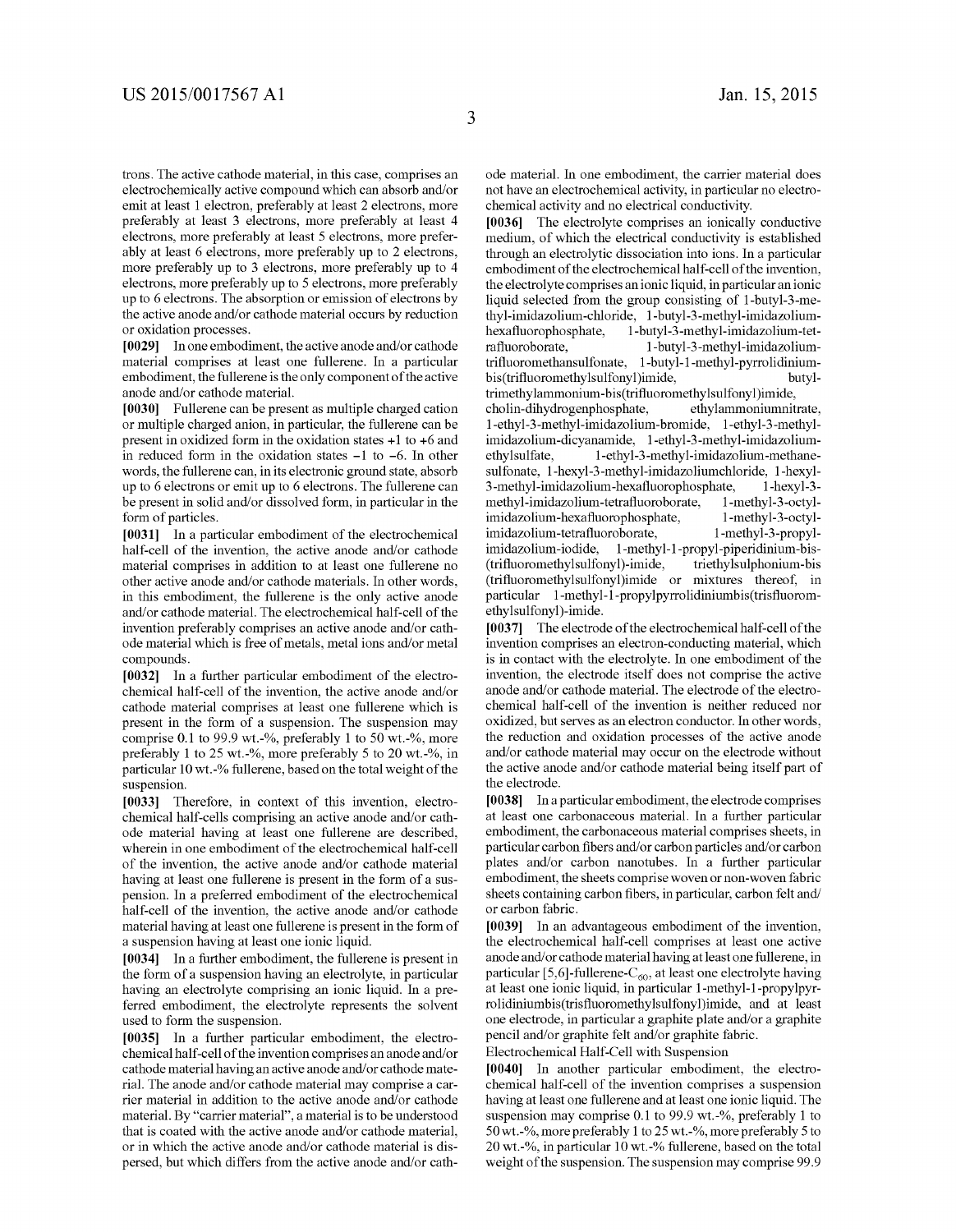trons. The active cathode material, in this case, comprises an electrochemically active compound which can absorb and/or emit at least 1 electron, preferably at least 2 electrons, more preferably at least 3 electrons, more preferably at least 4 electrons, more preferably at least 5 electrons, more preferably at least 6 electrons, more preferably up to 2 electrons, more preferably up to 3 electrons, more preferably up to 4 electrons, more preferably up to 5 electrons, more preferably up to 6 electrons. The absorption or emission of electrons by the active anode and/or cathode material occurs by reduction or oxidation processes.

[0029] In one embodiment, the active anode and/or cathode material comprises at least one fullerene. In a particular embodiment, the fullerene is the only component of the active anode and/or cathode material.

[0030] Fullerene can be present as multiple charged cation or multiple charged anion, in particular, the fullerene can be present in oxidized form in the oxidation states  $+1$  to  $+6$  and in reduced form in the oxidation states  $-1$  to  $-6$ . In other words, the fullerene can, in its electronic ground state, absorb up to 6 electrons or emit up to 6 electrons. The fullerene can be present in solid and/or dissolved form, in particular in the form of particles.

[0031] In a particular embodiment of the electrochemical half-cell of the invention, the active anode and/or cathode material comprises in addition to at least one fullerene no other active anode and/or cathode materials. In other words, in this embodiment, the fullerene is the only active anode and/or cathode material. The electrochemical half-cell of the invention preferably comprises an active anode and/or cathode material which is free of metals, metal ions and/or metal compounds.

[0032] In a further particular embodiment of the electrochemical half-cell of the invention, the active anode and/or cathode material comprises at least one fullerene which is present in the form of a suspension. The suspension may comprise 0.1 to 99.9 wt.-%, preferably 1 to 50 wt.-%, more preferably 1 to 25 wt.-%, more preferably 5 to 20 wt.-%, in particular 10 wt.-% fullerene, based on the total weight of the suspension.

[0033] Therefore, in context of this invention, electrochemical half-cells comprising an active anode and/or cathode material having at least one fullerene are described, wherein in one embodiment of the electrochemical half-cell of the invention, the active anode and/or cathode material having at least one fullerene is present in the form of a suspension. In a preferred embodiment of the electrochemical half-cell of the invention, the active anode and/or cathode material having at least one fullerene is present in the form of a suspension having at least one ionic liquid.

[0034] In a further embodiment, the fullerene is present in the form of a suspension having an electrolyte, in particular having an electrolyte comprising an ionic liquid. In a preferred embodiment, the electrolyte represents the solvent used to form the suspension.

[0035] In a further particular embodiment, the electrochemical half-cell of the invention comprises an anode and/or cathode material having an active anode and/or cathode material. The anode and/or cathode material may comprise a carrier material in addition to the active anode and/or cathode material. By "carrier material", a material is to be understood that is coated with the active anode and/or cathode material, or in which the active anode and/or cathode material is dispersed, but which differs from the active anode and/or cathode material. In one embodiment, the carrier material does not have an electrochemical activity, in particular no electrochemical activity and no electrical conductivity.

[0036] The electrolyte comprises an ionically conductive medium, of which the electrical conductivity is established through an electrolytic dissociation into ions. In a particular embodiment of the electrochemical half-cell of the invention. the electrolyte comprises an ionic liquid, in particular an ionic liquid selected from the group consisting of 1-butyl-3-methyl-imidazolium-chloride, 1-butyl-3-methyl-imidazoliumhexafluorophosphate, 1-butyl-3-methyl-imidazolium-tetrafluoroborate, 1-butyl-3-methyl-imidazoliumtrifluoromethansulfonate, 1-butyl-1-methyl-pyrrolidiniumbis(trifluoromethylsulfonyl)imide, butyltrimethylammonium-bis(trifluoromethylsulfonyl)imide,

cholin-dihydrogenphosphate, ethylammoniumnitrate, 1-ethyl-3-methyl-imidazolium-bromide. 1-ethyl-3-methylimidazolium-dicyanamide, 1-ethyl-3-methyl-imidazoliumethylsulfate, 1-ethyl-3-methyl-imidazolium-methanesulfonate, 1-hexyl-3-methyl-imidazoliumchloride, 1-hexyl-3-methyl-imidazolium-hexafluorophosphate,  $1$ -hexvl-3methyl-imidazolium-tetrafluoroborate, 1-methyl-3-octylimidazolium-hexafluorophosphate, 1-methyl-3-octylimidazolium-tetrafluoroborate, 1-methyl-3-propylimidazolium-iodide, 1-methyl-1-propyl-piperidinium-bis-(trifluoromethylsulfonyl)-imide, triethylsulphonium-bis (trifluoromethylsulfonyl)imide or mixtures thereof, in particular 1-methyl-1-propylpyrrolidiniumbis(trisfluoromethylsulfonyl)-imide.

[0037] The electrode of the electrochemical half-cell of the invention comprises an electron-conducting material, which is in contact with the electrolyte. In one embodiment of the invention, the electrode itself does not comprise the active anode and/or cathode material. The electrode of the electrochemical half-cell of the invention is neither reduced nor oxidized, but serves as an electron conductor. In other words, the reduction and oxidation processes of the active anode and/or cathode material may occur on the electrode without the active anode and/or cathode material being itself part of the electrode.

[0038] In a particular embodiment, the electrode comprises at least one carbonaceous material. In a further particular embodiment, the carbonaceous material comprises sheets, in particular carbon fibers and/or carbon particles and/or carbon plates and/or carbon nanotubes. In a further particular embodiment, the sheets comprise woven or non-woven fabric sheets containing carbon fibers, in particular, carbon felt and/ or carbon fabric.

[0039] In an advantageous embodiment of the invention, the electrochemical half-cell comprises at least one active anode and/or cathode material having at least one fullerene, in particular [5,6]-fullerene- $C_{60}$ , at least one electrolyte having at least one ionic liquid, in particular 1-methyl-1-propylpyrrolidiniumbis(trisfluoromethylsulfonyl)imide, and at least one electrode, in particular a graphite plate and/or a graphite pencil and/or graphite felt and/or graphite fabric.

Electrochemical Half-Cell with Suspension

[0040] In another particular embodiment, the electrochemical half-cell of the invention comprises a suspension having at least one fullerene and at least one ionic liquid. The suspension may comprise 0.1 to 99.9 wt.-%, preferably 1 to 50 wt.-%, more preferably 1 to 25 wt.-%, more preferably 5 to 20 wt.-%, in particular 10 wt.-% fullerene, based on the total weight of the suspension. The suspension may comprise 99.9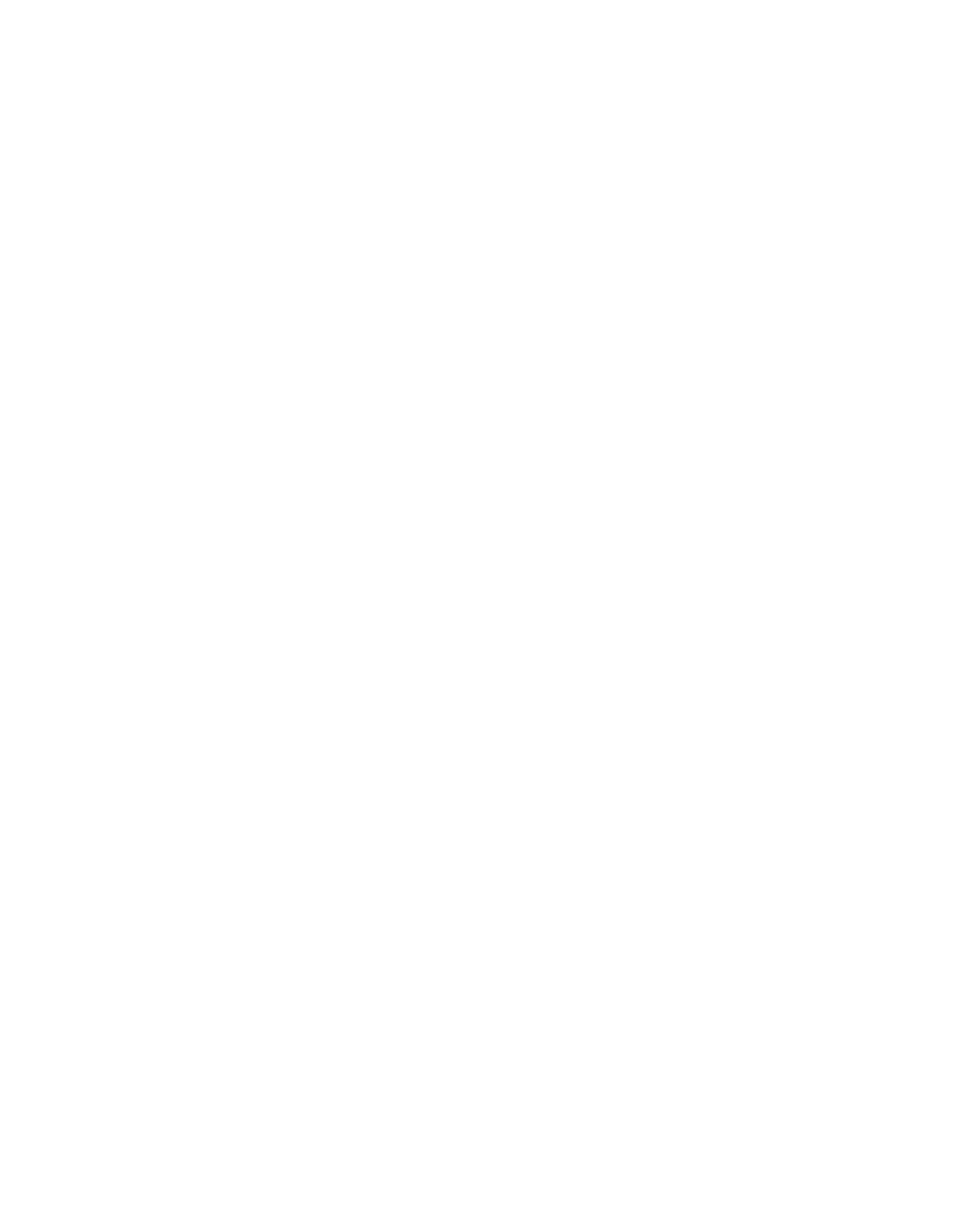to 0.1 wt.-%, preferably 99 to 50 wt.-%, more preferably 99 to 75 wt.-%, more preferably 95 to 80 wt.-%, in particular 90% wt.-% ionic liquid, based on the total weight of the suspension. In the context of the present invention, also embodiments are included having a suspension, which has in addition to the fullerene and the ionic liquid further ingredients.

[0041] In one embodiment, the active anode and/or cathode material comprises an electrochemically active compound which can absorb and/or emit at least 1 electron, preferably at least 2 electrons, more preferably at least 3 electrons, more preferably at least 4 electrons, more preferably at least 5 electrons, more preferably at least 6 electrons.

[0042] In one embodiment, the active anode and/or cathode material comprises an electrochemically active compound which can absorb and/or emit 1 electron, preferably up to 2 electrons, more preferably up to 3 electrons, more preferably up to 4 electrons, more preferably up to 5 electrons, more preferably up to 6 electrons.

[0043] The fullerene of the electrochemical half-cell of the invention comprising at least one fullerene and at least one ionic liquid, is in particular a component of the active anode and/or cathode material. Fullerene may be present as multiple charged cation or multiple charged anion, in particular, the fullerene may be present in oxidized form in the oxidation states  $+1$  to  $+6$  and in reduced form in the oxidation states  $-1$ to  $-6$ . In other words, the fullerene may, in its electronic ground state, absorb up to 6 electrons or emit up to 6 electrons. The fullerene may be present in solid and/or dissolved form, in particular in the form of particles.

[0044] In a particular embodiment of the electrochemical half-cell of the invention comprising at least one fullerene and at least one ionic liquid, the fullerene is the only component of the active anode and/or cathode material.

[0045] In a further particular embodiment, the electrochemical half-cell of the invention having at least one fullerene and at least one ionic liquid, comprises an anode and/or cathode material having an active anode and/or cathode material. The anode and/or cathode material may comprise a carrier material in addition to the active anode and/or cathode material. By "carrier material", a material is to be understood that is coated with the active anode and/or cathode material, or in which the active anode and/or cathode material is dispersed, but which differs from the active anode and/or cathode material. In one embodiment, the carrier material does not have an electrochemical activity, in particular no electrochemical activity and no electrical conductivity.

[0046] One embodiment of the electrochemical half-cell of the invention having at least one fullerene and at least one ionic liquid, comprises an electrolyte. The electrolyte comprises an ionically conductive medium, of which the electrical conductivity is established through an electrolytic dissociation into ions. In a particular embodiment of the electrochemical half-cell of the invention, the electrolyte comprises an ionic liquid, in particular an ionic liquid selected from the group consisting of 1-butyl-3-methyl-imidazolium-chloride, 1-butyl-3-methyl-imidazoliumhexafluorophosphate, 1-butyl-3-methyl-imidazolium-tet-

rafluoroborate, 1-butyl-3-methyl-imidazoliumtrifluoromethansulfonate, 1-butyl-1-methyl-pyrrolidiniumbis(trifluoromethylsulfonyl)imide, butyltrimethylammonium-bis(trifluoromethylsulfonyl)imide,

cholin-dihydrogenphosphate, ethylammoniumnitrate, 1-ethyl-3-methyl-imidazolium-bromide, 1-ethyl-3-methylimidazolium-dicyanamide, 1-ethyl-3-methyl-imidazoliumethylsulfate, 1-ethyl-3-methyl-imidazolium-methanesulfonate, 1-hexyl-3-methyl-imidazoliumchloride, 1-hexyl-3-methyl-imidazolium-hexafluorophosphate,  $1$ -hexyl-3methyl-imidazolium-tetrafluoroborate, 1-methyl-3-octylimidazolium-1-methyl-3-octyl-imidazolium-

tetrafluoroborate, 1-methyl-3-propyl-imidazolium-iodide, 1-methyl-1-propyl-piperidinium-bis-(trifluoromethylsulfonyl)-imide, triethylsulphonium-bis(trifluoromethylsulfonyl) imide or mixtures thereof, in particular 1-methyl-1-propylpyrrolidiniumbis(trisfluoromethylsulfonyl)-imide.

 $[0.047]$  In a further embodiment, the fullerene is present in the form of a suspension having an electrolyte, in particular having an electrolyte comprising an ionic liquid. In a preferred embodiment, the electrolyte represents the solvent used to form the suspension.

[0048] One embodiment of the electrochemical half-cell of the invention having at least one fullerene and at least one ionic liquid, comprises an electrode. The electrode comprises an electron-conducting material, which is in contact with the electrolyte. In one particular embodiment of the invention, the electrode itself does not comprise the fullerene. The electrode of the electrochemical half-cell of the invention is neither reduced nor oxidized, but serves as an electron conductor. In other words, the reduction and oxidation processes of the active anode and/or cathode material may occur on the electrode without the active anode and/or cathode material being itself part of the electrode.

[0049] In a particular embodiment, the electrode comprises at least one carbonaceous material. In a further particular embodiment, the carbonaceous material comprises sheets, in particular carbon fibers and/or carbon particles and/or carbon plates and/or carbon nanotubes. In a further particular embodiment, the sheets comprise woven or non-woven fabric sheets containing carbon fibers, in particular, carbon felt, and/or carbon fabric.

[0050] An advantageous embodiment of the electrochemical half-cell of the invention having at least one fullerene and at least one ionic liquid, comprises at least one active anode and/or cathode material having at least one fullerene, in particular [5,6]-fullerene- $C_{60}$ , at least one electrolyte having at least one ionic liquid, in particular 1-methyl-1-propylpyrrolidiniumbis(trisfluoromethylsulfonyl)imide, and at least one electrode, in particular a graphite plate and/or a graphite pencil and/or graphite felt and/or graphite fabric.

Energy Storage and/or Energy Conversion Device

[0051] The invention further comprises an electrochemical energy storage and/or energy conversion device having at least two of the electrochemical half-cells of the invention.

[0052] In a particular embodiment, the electrochemical energy storage and/or energy conversion device comprises at least two of the electrochemical half-cells, wherein

- [0053] (i) a first electrochemical half-cell includes
- $[0054]$  (a) an active anode material
- [0055] (b) a first electrolyte and
- [ $0056$ ] (c) a first electrode,

 $[0057]$  and

- [0058] (ii) a second electrochemical half-cell includes
- $[0059]$ (a) an active cathode material
- $[0060]$ (b) a second electrolyte and
- $[0061]$  (c) a second electrode,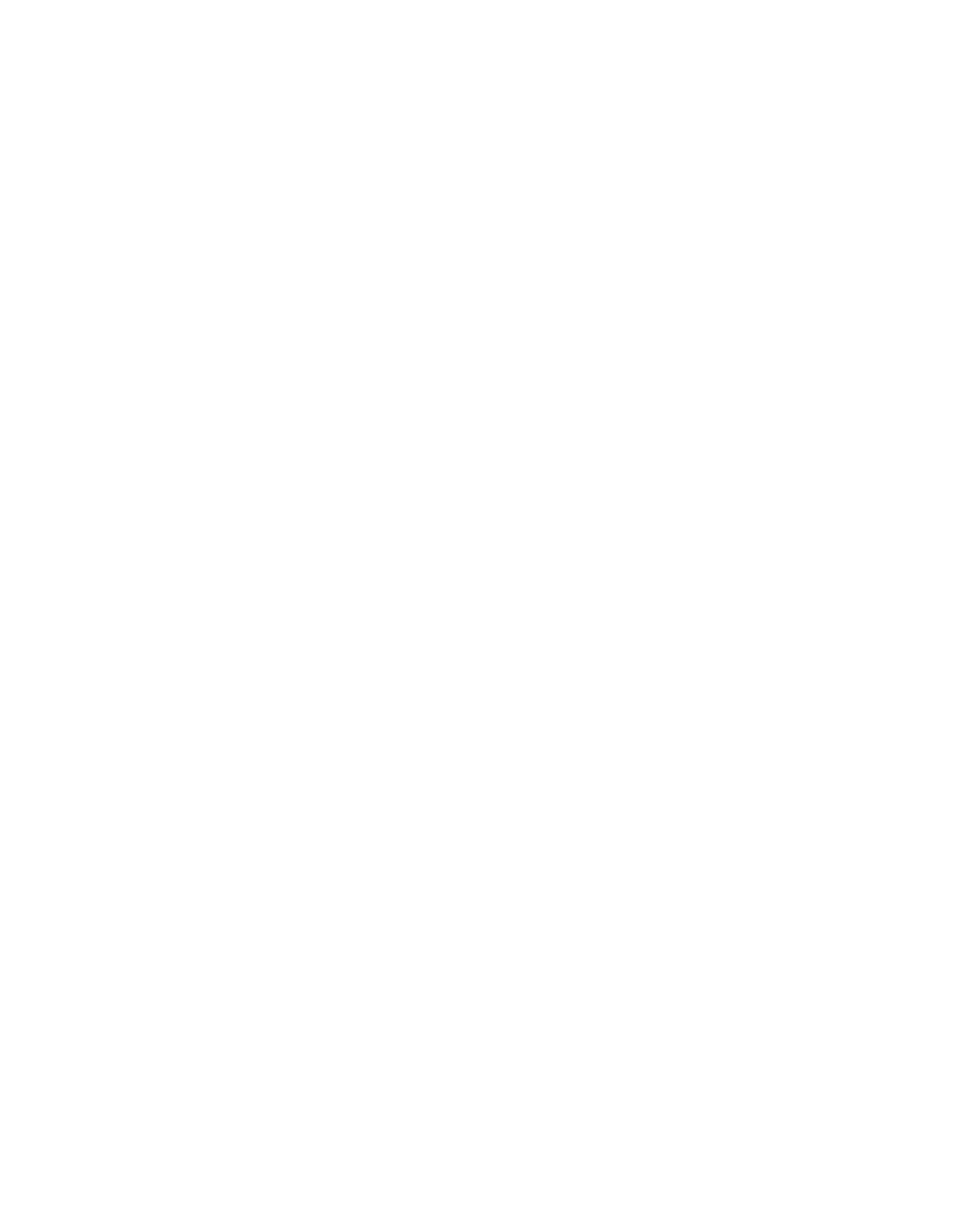$[0062]$  and

[0063] (iii) the electrolyte of the first electrochemical half-cell and the electrolyte of the second electrochemical half-cell are in contact via a separator, in particular a microporous separator,

 $[0064]$  and

 $[0065]$  (iv) the first electrochemical half-cell and/or the second electrochemical half-cell include independently from each other, an active anode and/or cathode material, which comprises at least one fullerene.

[0066] The active anode and/or cathode material of the first and/or the second electrochemical half-cell comprises an electrochemically active compound, which can absorb and/or emit at least 1 electron, preferably at least 2 electrons, more preferably at least 3 electrons, more preferably at least 4 electrons, more preferably at least 5 electrons, more preferably at least 6 electrons. The absorption or emission of electrons by the active anode and/or cathode material occurs by reduction or oxidation processes.

[0067] In one embodiment, the active anode and/or cathode material of the first and/or the second electrochemical halfcell comprises an electrochemically active compound, which can absorb and/or emit at least 1 electron, preferably up to 2 electrons, more preferably up to 3 electrons, more preferably up to 4 electrons, more preferably up to 5 electrons, more preferably up to 6 electrons. The absorption or emission of electrons by the active anode and/or cathode material occurs by reduction or oxidation processes.

[0068] In one embodiment, the active anode and/or cathode material of the first and/or the second electrochemical halfcell of the electrochemical energy storage and/or energy conversion device comprises at least on fullerene.

[0069] Fullerene can be present as multiple charged cation or multiple charged anion, in particular, the fullerene can be present in oxidized form in the oxidation states +1 to +6 and in reduced form in the oxidation states  $-1$  to  $-6$ . In other words, the fullerene can, in its electronic ground state, absorb up to 6 electrons or emit up to 6 electrons. The fullerene can be present in solid and/or dissolved form, in particular in the form of particles.

 $[0070]$  In a particular embodiment, the fullerene is the only component of the active anode and/or cathode material of the first and/or the second electrochemical half-cell of the electrochemical energy storage and/or energy conversion device of the invention. In a further particular embodiment of the energy storage and/or energy conversion device of the invention, the active anode and cathode material of the first and the second electrochemical half-cell comprises at least one fullerene, whereby the active anode material and the active cathode material of the first and the second electrochemical half-cell are identical.

[0071] The first and/or the second electrochemical halfcells of the invention preferably comprise an active anode and/or cathode material which is free of metals, metal ions and/or metal compounds.

[0072] In one embodiment of the first and/or the second electrochemical half-cell, the active anode and/or cathode material comprises at least one fullerene, which is present in the form of a suspension, in particular in the form of a suspension having at least one ionic liquid. The suspension may comprise 0.1 to 99.9 wt.-%, preferably 1 to 50 wt.-%, more preferably 1 to 25 wt.-%, more preferably 5 to 20 wt.-%, in particular 10 wt.-% fullerene, based on the total weight of the suspension. In one embodiment having at least one fullerene and at least one ionic liquid, the suspension may comprise 99.9 to 0.1 wt.-%, preferably 99 to 50 wt.-%, more preferably 99 to 75 wt.-%, more preferably 95 to 80 wt.-%, in particular 90 wt.-% ionic liquid, based on the total weight of the suspension.

[0073] In a particular embodiment of the energy storage and/or energy conversion device of the invention, the first and the second electrochemical half-cell comprises an active anode and/or cathode material having at least one fullerene, which is present in the form of a suspension, whereby the suspension of the active anode material of the first electrochemical half-cell is identical to the suspension of the active cathode material of the second electrochemical half-cell.

[0074] In a further particular embodiment of the energy storage and/or energy conversion device of the invention, the first and the second electrochemical half-cell comprises an active anode and/or cathode material having at least one fullerene, which is present in the form of a suspension having at least one ionic liquid. In a further particular embodiment of the energy storage and/or energy conversion device of the invention, the first and the second electrochemical half-cell comprises an active anode and/or cathode material having at least one fullerene, which is present in the form of a suspension having at least one ionic liquid, whereby the suspension of the active anode material of the first electrochemical halfcell is identical to the suspension of the active cathode material of the second electrochemical half-cell.

 $[0075]$  In the context of the present invention, also embodiments are included comprising a suspension, which has in addition to the fullerene and the ionic liquid further ingredients.

[0076] In a further particular embodiment, the first and/or the second electrochemical half-cell of the invention comprises an anode and/or cathode material having an active anode and/or cathode material. The anode and/or cathode material may comprise a carrier material in addition to the active anode and/or cathode material. By "carrier material", a material is to be understood that is coated with the active anode and/or cathode material, or in which the active anode and/or cathode material is dispersed, but which differs from the active anode and/or cathode material. In one embodiment, the carrier material does not have an electrochemical activity, in particular no electrochemical activity and no electrical conductivity.

[0077] In a further particular embodiment, the fullerene is present in the form of a suspension having an electrolyte, in particular having an electrolyte comprising an ionic liquid. In other words, this embodiment comprises a first and/or a second electrochemical half-cell having an active anode and/or cathode material having at least one fullerene, which is present in the form of a suspension, whereby the suspension comprises also the electrolyte, in particular an ionic liquid.

[0078] The first and/or the second electrolyte of the first and/or the second electrochemical half-cell of the energy storage and/or energy conversion device of the invention comprises an ionically conductive medium, of which the electrical conductivity is established through an electrolytic dissociation into ions. In a particular embodiment, the first and/or the second electrolyte comprises an ionic liquid, in particular an ionic liquid selected from the group consisting of 1-butyl-3-methyl-imidazolium-chloride, 1-butyl-3-methyl-imidazolium-hexafluorophosphate, 1-butyl-3-methylimidazolium-tetrafluoroborate, 1-butyl-3-methyl-imidazolium-trifluoromethansulfonate, 1-butyl-1-methyl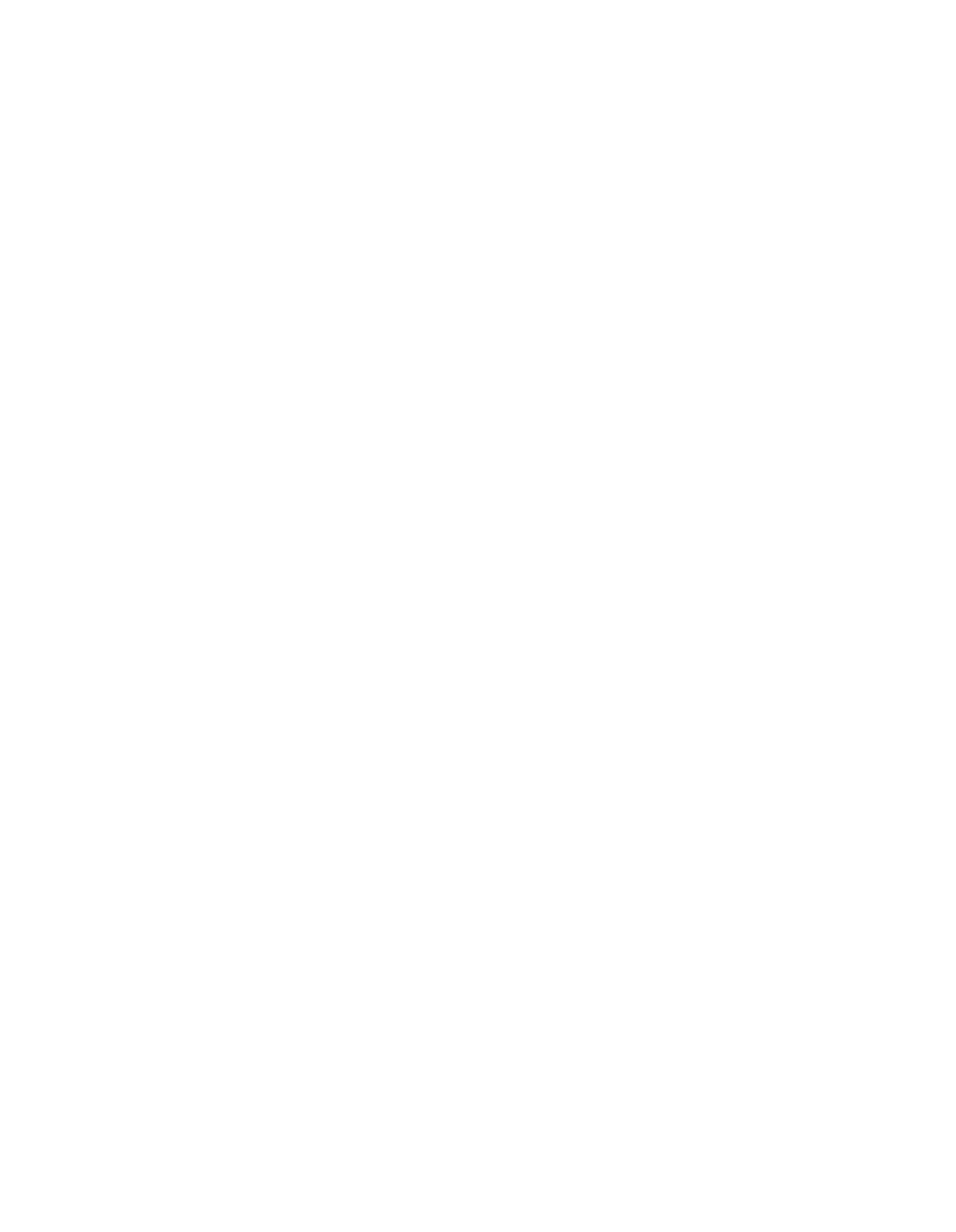pyrrolidinium-bis(trifluoromethylsulfonyl)imide, butyltrimethylammonium-bis(trifluoromethylsulfonyl)imide,

cholin-dihydrogenphosphate, ethylammoniumnitrate, 1-ethyl-3-methyl-imidazolium-bromide, 1-ethyl-3-methylimidazolium-dicyanamide, 1-ethyl-3-methyl-imidazolium-1-ethyl-3-methyl-imidazolium-methaneethylsulfate, sulfonate, 1-hexyl-3-methyl-imidazoliumchloride, 1-hexyl-3-methyl-imidazolium-hexafluorophosphate,  $1$ -hexyl-3methyl-imidazolium-tetrafluoroborate, 1-methyl-3-octylimidazolium-hexafluorophosphate, 1-methyl-3-octylimidazolium-tetrafluoroborate. 1-methyl-3-propylimidazolium-iodide, 1-methyl-1-propyl-piperidinium-bis-(trifluoromethylsulfonyl)-imide, triethylsulphonium-bis (trifluoromethylsulfonyl)imide or mixtures thereof, in particular 1-methyl-1-propylpyrrolidiniumbis(trisfluoromethylsulfonyl)-imide.

[0079] In one embodiment of the first and/or the second electrochemical half-cell of the invention, the first and/or the second electrolyte may be identical to the ionic liquid of the active anode and/or cathode material. In a further embodiment of the first and/or the second electrochemical half-cell of the invention, the first electrolyte may be identical to the second electrolyte.

[0080] The first and/or the second electrode of the first and/or the second electrochemical half-cell of the energy storage and/or energy conversion device of the invention, comprises an electron-conducting material, which is in contact with the electrolyte. In one embodiment of the invention, the first and/or the second electrode does not comprise the active anode and/or cathode material. The first and/or the second electrode of the energy storage and/or energy conversion device of the invention is neither reduced nor oxidized, but serves as an electron conductor. In other words, the reduction and oxidation processes of the active anode and/or cathode material may occur on the first and/or second electrode without the active anode and/or cathode material being itself part of the first and/or the second electrode.

[0081] In a particular embodiment, the first and/or the second electrode comprises at least one carbonaceous material, in particular two carbonaceous materials. In a further particular embodiment, the carbonaceous material comprises sheets, in particular carbon fibers and/or carbon particles and/or carbon plates and/or carbon nanotubes. In a further particular embodiment, the sheets comprise woven or non-woven fabric sheets containing carbon fibers, in particular, carbon felt and/ or carbon fabric.

[0082] In an advantageous embodiment of the invention, the energy storage and/or energy conversion device of the invention having at least two electrochemical half-cells, comprises at least one active anode and/or cathode material having at least one fullerene, in particular [5,6]-fullerene- $C_{60}$ , at least one electrolyte having at least one ionic liquid, in particular 1-methyl-1-propylpyrrolidiniumbis(trisfluoromethylsulfonyl)imide, and at least a first and a second electrode, in particular graphite plates and/or graphite pencils and/or graphite felts and/or graphite fabrics.

[ $0083$ ] The invention also relates to a method for producing an electrochemical half-cell of the invention, comprising the following method steps:

- [0084] (i) providing an electrode,
- [0085] (ii) providing an active anode and/or cathode material having a least one fullerene, in particular in the form of a suspension,

[0086]  $(iii)$  providing an electrolyte, in particular an elec-

## trolyte having at least one ionic liquid.

[0087] In one embodiment of the method for producing an electrochemical half-cell of the invention, the electrode is treated with a suspension of the active anode and/or cathode material. Initially, a suspension of the active anode and/or cathode material is prepared, in particular a suspension having at least one fullerene and at least one ionic liquid, and subsequently the electrode is treated with the suspension.

[0088] The invention also relates to the use of an electrochemical half-cell of the invention for producing the electrochemical energy storage and/or energy conversion device of the invention.

[0089] The electrochemical half-cell of the invention as well as the electrochemical energy storage and/or energy conversion devices having at least two electrochemical halfcells of the invention, are characterized by a particularly high theoretical capacity.

[0090] The capacity is the product of current and time, and becomes apparent from formula (iii):

$$
(iii),
$$

 $(iv),$ 

 $(v),$ 

wherein I is the current in ampere  $[A]$ , t is the time in hours  $[h].$ 

capacity= $I<sup>t</sup>$ 

 $O=n z \cdot F$ 

[0091] The capacity of electrochemical half-cells as well as electrochemical energy storage and/or energy conversion devices becomes apparent from the Faraday's law, according to formula (iv):

$$
f_{\rm{max}}(x)=\frac{1}{2}x
$$

wherein  $Q$  is the amount of electric charge,  $n$  is the converted amount of substance in mol [mol], z is the number of electrons and F is the Faraday constant in coulomb [C] (96487 C). [0092] For a half-cell of the invention as well as the electrochemical energy storage and/or energy conversion device having at least two electrochemical half-cells of the invention, having up to 6 electron transitions, this results in a capacity of 160.8 Ah/mol.

[0093] For a half-cell of the invention as well as the electrochemical energy storage and/or energy conversion device having at least two electrochemical half-cells of the invention, having up to 3 electron transitions, this results in a capacity of 80.4 Ah/mol.

[0094] For a half-cell of the invention as well as the electrochemical energy storage and/or energy conversion device having at least two electrochemical half-cells of the invention, having up to 2 electron transitions, this results in a capacity of 53.6 Ah/mol.

[0095] For a half-cell of the invention as well as the electrochemical energy storage and/or energy conversion device having at least two electrochemical half-cells of the invention, having up to 1 electron transition, this results in a capacity of 26.8 Ah/mol.

[0096] For a half-cell of the invention as well as the electrochemical energy storage and/or energy conversion device having at least two electrochemical half-cells of the invention, this results in a theoretically capacity in a range of from of 26.8 to 160.8 Ah/mol.

[0097] The energy density is the product of the amount of electric charge and voltage, and becomes apparent from formula $(v)$ :

 $W = O \cdot U$ 

wherein  $W$  is the energy density,  $Q$  is the amount of electric charge and U is the voltage.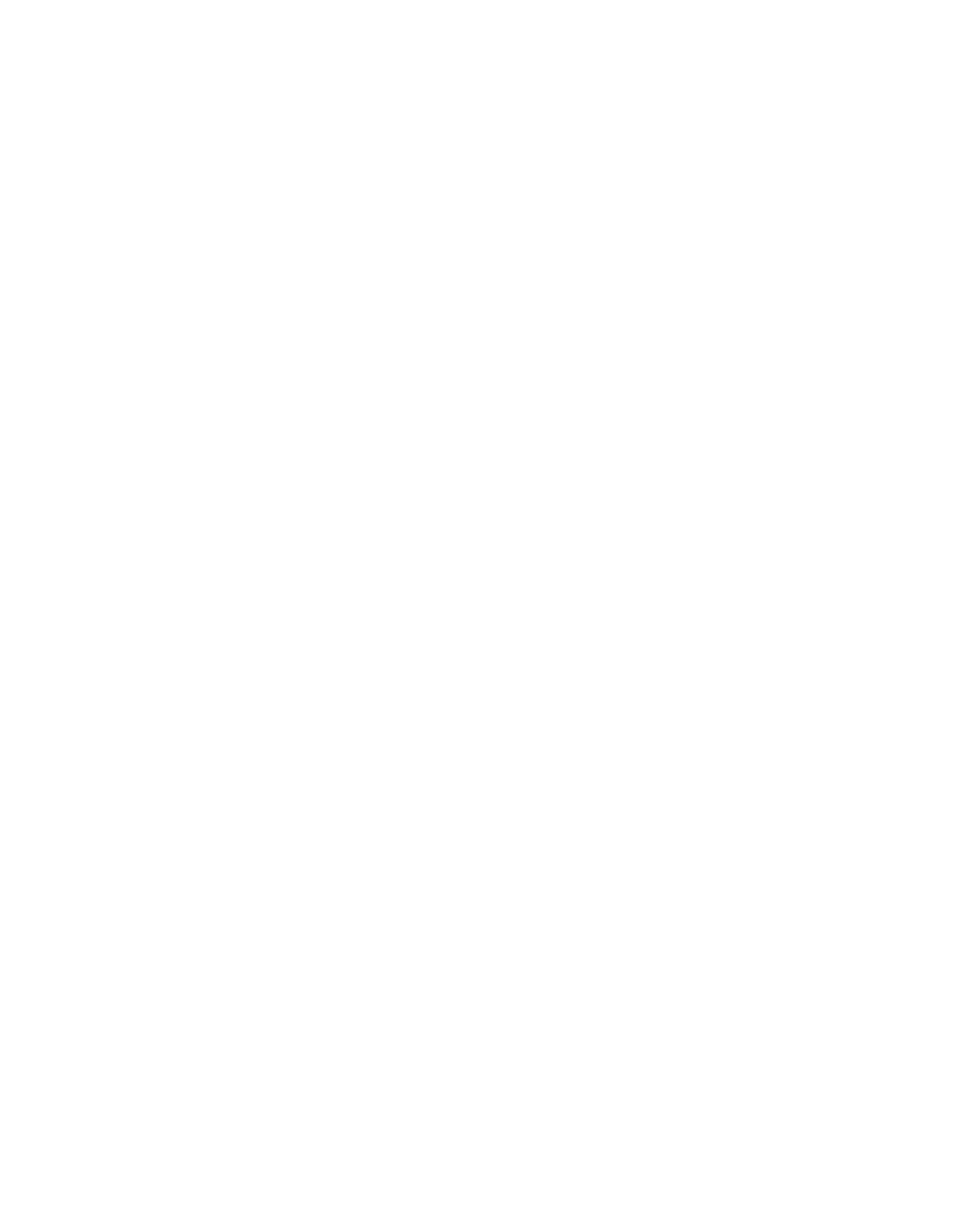[0098] The energy density of three voltage plateaus with usable reversible redox reactions at 3.5 V, 2.5 V and 1.5 V results according to formula (v) in a theoretical energy density of 201 Wh/mol.

3.5 V.26.8 Ah/mol+2.5 V.26.8 Ah/mol+1.5 V.26.8 Ah/mol=201 Wh/mol

#### **FIGURES**

[0099] FIG. 1 shows reduction peaks of [5,6]-fullerene-C<sub>60</sub><br>to [5,6]-fullerene-C<sub>60</sub><sup>-6</sup> as disclosed in Q, Xie, E, Perez-Cordero, L'Echegoyen, "Electrochemical Detection of C<sub>60</sub><sup>-6</sup> and  $C_{70}^{-6}$  Enhanced Stability of Fullerides in Solution", J.<br>Am. Soc., 1992, 114, 3978-3980.

[0100] FIG. 2 shows charge and discharge curves of a cell having 10% [5,6]-fullerene- $C_{60}$  in 1-methyl-1-propylpyrrolidiniumbis(trifluoromethylsulfonyl)imide.

[0101] FIG. 3 shows a single charge and discharge curve of a cell having 10% [5,6]-fullerene- $C_{60}$  in 1-methyl-1-propylpyrrolidiniumbis(trifluoromethylsulfonyl)imide.

#### **EXAMPLES**

#### Example 1

[0102] An energy storage and/or energy conversion device was constructed from a suspension of 10% [5,6]-fullerene- $C_{60}$  in 1-methyl-1-propyl-pyrrolidiniumbis(trifluoromethylsulfonyl)imide (99%, Iolitec GmbH, Germany). The energy storage and/or energy conversion device was separated by a microporous separator (Celgard Inc., USA) in two electrochemical half-cells. As electrodes graphite plates (FU 4036, Schunk Kohlenstofftechnik GmbH, Germany) and graphite felt (GFA5, SGL Carbon, Germany) were used. A graphite plate was force-fitted, in particular liquid-tight, single side mounted on PVC frame from four mutually approximately parallel segments with a cavity of 5x33x30 mm Subsequently, a graphite felt was placed in the body, open on one side, and a suspension of 10% [5,6]-fullerene- $C_{60}$  in 1-methyl-1-propyl-pyrrolidiniumbis(trifluoromethylsulfonyl)

imide was applied onto the graphite felt, until it was fully saturated with the suspension and could not take on any further suspension.

[0103] The cavity of the on one side open body was filled subsequently with 1-methyl 1-propyl-pyrrolidiniumbis(trifluoromethylsulfonyl)imide, whereby 1-methyl-1-propylpyrrolidiniumbis(trifluoromethylsulfonyl)imide acts as the electrolyte. The on one side open body is an embodiment of the electrochemical half-cell of the invention of the electrochemical energy storage and/or energy conversion device. Subsequently, the on one side open body was closed by forcefit, in particular liquid-tight coating of a separator. Then, a second graphite plate was force-fitted, in particular liquidtight, single side mounted on PVC frame from four mutually approximately parallel segments with a cavity of  $5\times33\times30$ mm Subsequently, a second graphite felt was placed in the body, open on two sides, and a suspension of 10% [5,6]fullerene-C<sub>60</sub> in 1-methyl-1-propyl-pyrrolidiniumbis(trifluoromethylsulfonyl)imide was applied onto the second graphite felt, until it was fully saturated with the suspension and could not take on any further suspension. The cavity of the on two sides open body was filled subsequently with 1-methyl 1-propyl-pyrrolidiniumbis(trifluoromethylsulfonyl)imide,

whereby the 1-methyl-1-propyl-pyrrolidiniumbis(trifluoromethylsulfonyl)imide acts as the electrolyte. The on two sides open body is an embodiment of the electrochemical half-cell of the electrochemical energy storage and/or energy conversion device of the invention. Subsequently, the second on one-sided open body was attached force-fit, in particular liquid-tight, on one side, attached at the side via the open side delimiting PVC frame to the separator of the first half-cell. The electrical contact of the first and the second electrochemical half-cell was carried out by a first copper plate on the first graphite plate and a second copper plate on the second graphite plate. The two electrochemical half-cells were then electrically connected via the first copper plate and the second copper plate with an electrical conductor of the current density of  $0.3 \text{ mA/cm}^2$ .

[0104] As shown in FIGS. 2 and 3 the final charge voltage of the so constructed electrochemical energy storage and/or energy conversion device, is about 5 V and the final discharge voltage is about 0.5 V. In a charging process, the electrochemical energy storage and/or energy conversion device polarizes first uniformly up to a voltage of about 4 V. Next, slowing down of polarization of the electrochemical energy storage and/or energy conversion device occurs until the final charge voltage is reached. After charging, the terminal voltage falls within 10 minutes to a value of about 4.4 V and then within another 10 minutes to a value of about 4.3V. Then, the electrochemical energy storage and/or energy conversion device was discharged. In doing so, the cell polarized in less than 1 minute to a value of about  $3.9$  V and then within 2.5 hours to a value of about 2.8 V, and then within 3.5 hours to a value of about 1.25 V. The charge and discharge curves show a behavior that corresponds to the Nernst equation with two electronic transitions.

1. Electrochemical half-cell, comprising an active anode and/or cathode material having at least one fullerene as electrochemically active compound.

2. Electrochemical half-cell according to claim 1, wherein the fullerene is selected from the group consisting of  $[5,6]$ There is below from the group consisting 01 [0,0]-<br>fullerene-C<sub>60</sub>, [5,6]-fullerene-C<sub>70</sub>, fullerene-C<sub>76</sub>, fullerene-C<sub>82</sub>, fullerene-C<sub>84</sub>, fullerene-C<sub>86</sub>, fullerene-C<sub>90</sub> or mixtures thereof.

3. Electrochemical half-cell according to claim 1, wherein the fullerene is present in the form of a suspension having an ionic liquid.

4. Electrochemical half-cell according to claim 3, wherein the ionic liquid is selected from the group consisting of 1-butyl-3-methyl-imidazolium-chloride, 1-butyl-3-methyl-imidazolium-hexafluorphosphate, 1-butyl-3-methyl-imidazolium-tetrafluorborate, 1-butyl-3-methyl-imidazoliumtrifluormethanesulfonate, 1-butyl-1-methyl-pyrrolidiniumbis(trifluoromethylsulfonyl)imide, butvltrimethylammonium-bis(trifluoromethylsulfonyl)imide, cholin-dihydrogenphosphate, ethylammoniumnitrate, 1-ethyl-3-methyl-imidazolium-bromide, 1-ethyl-3-methylimidazolium-dicyanamide, 1-ethyl-3-methyl-imidazoliumethylsulfate, 1-ethyl-3-methyl-imidazolium-methanesulfonate, 1-hexyl-3-methyl-imidazoliumchloride, 1-hexyl-3-methyl-imidazolium-hexafluorophosphate,  $1$ -hexyl-3methyl-imidazolium-tetrafluoroborate, 1-methyl-3-octyl-1-methyl-3-octvlimidazolium-hexafluorophosphate, 1-methyl-3-propylimidazolium-tetrafluoroborate, imidazolium-iodide, 1-methyl-1-propyl-piperidinium-bis-(trifluoromethylsulfonyl)-imide, triethylsulphonium-bis (trifluoromethylsulfonyl)imide or mixtures thereof.